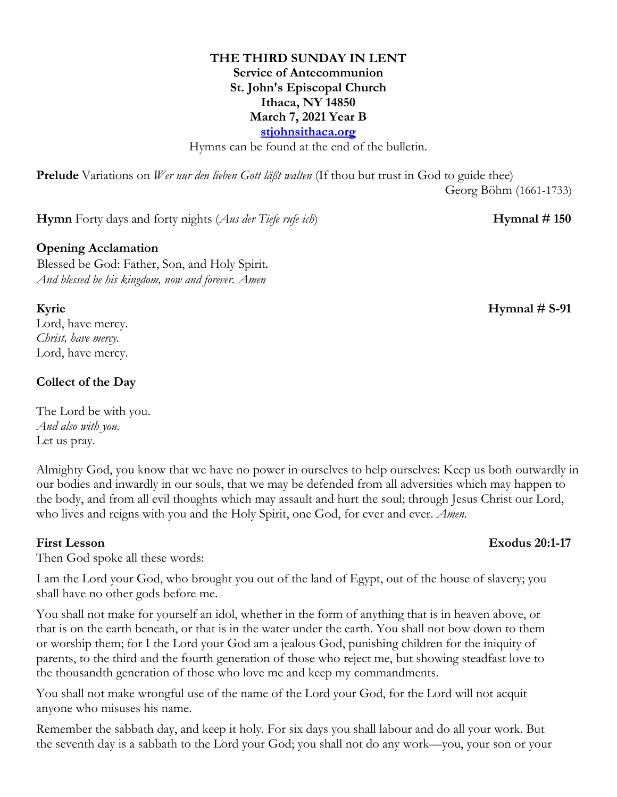## **THE THIRD SUNDAY IN LENT Service of Antecommunion St. John's Episcopal Church Ithaca, NY 14850 March 7, 2021 Year B stjohnsithaca.org**

Hymns can be found at the end of the bulletin.

**Prelude** Variations on *Wer nur den lieben Gott läßt walten* (If thou but trust in God to guide thee)

Georg Böhm (1661-1733)

**Hymn** Forty days and forty nights (*Aus der Tiefe rufe ich*) **Hymnal # 150** 

### **Opening Acclamation**

Blessed be God: Father, Son, and Holy Spirit. *And blessed be his kingdom, now and forever. Amen*

Lord, have mercy. *Christ, have mercy.* Lord, have mercy.

## **Collect of the Day**

The Lord be with you. *And also with you.* Let us pray.

Almighty God, you know that we have no power in ourselves to help ourselves: Keep us both outwardly in our bodies and inwardly in our souls, that we may be defended from all adversities which may happen to the body, and from all evil thoughts which may assault and hurt the soul; through Jesus Christ our Lord, who lives and reigns with you and the Holy Spirit, one God, for ever and ever. *Amen.*

#### **First Lesson Exodus 20:1-17**

## Then God spoke all these words:

I am the Lord your God, who brought you out of the land of Egypt, out of the house of slavery; you shall have no other gods before me.

You shall not make for yourself an idol, whether in the form of anything that is in heaven above, or that is on the earth beneath, or that is in the water under the earth. You shall not bow down to them or worship them; for I the Lord your God am a jealous God, punishing children for the iniquity of parents, to the third and the fourth generation of those who reject me, but showing steadfast love to the thousandth generation of those who love me and keep my commandments.

You shall not make wrongful use of the name of the Lord your God, for the Lord will not acquit anyone who misuses his name.

Remember the sabbath day, and keep it holy. For six days you shall labour and do all your work. But the seventh day is a sabbath to the Lord your God; you shall not do any work—you, your son or your

## **Kyrie Hymnal # S-91**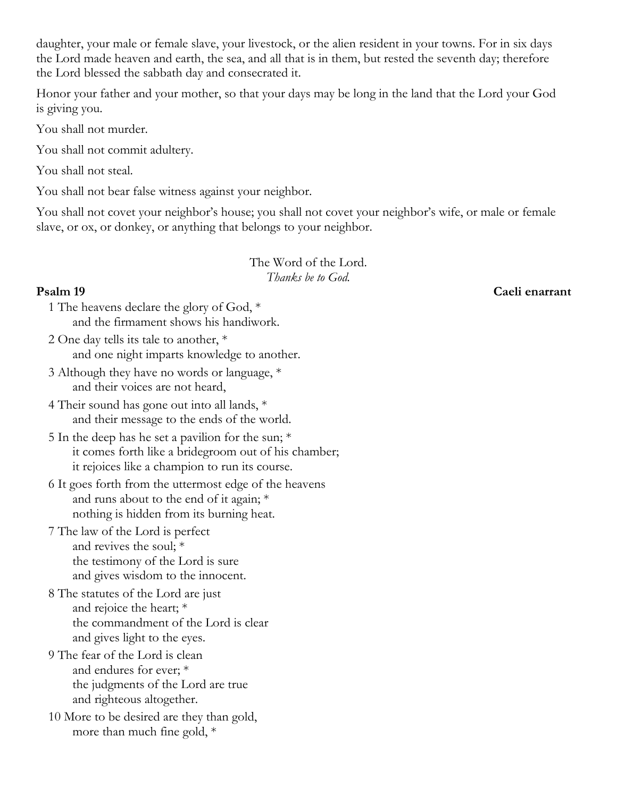daughter, your male or female slave, your livestock, or the alien resident in your towns. For in six days the Lord made heaven and earth, the sea, and all that is in them, but rested the seventh day; therefore the Lord blessed the sabbath day and consecrated it.

Honor your father and your mother, so that your days may be long in the land that the Lord your God is giving you.

You shall not murder.

You shall not commit adultery.

You shall not steal.

You shall not bear false witness against your neighbor.

You shall not covet your neighbor's house; you shall not covet your neighbor's wife, or male or female slave, or ox, or donkey, or anything that belongs to your neighbor.

> The Word of the Lord. *Thanks be to God.*

## **Psalm 19 Caeli enarrant**

- 1 The heavens declare the glory of God, \* and the firmament shows his handiwork.
- 2 One day tells its tale to another, \* and one night imparts knowledge to another.
- 3 Although they have no words or language, \* and their voices are not heard,
- 4 Their sound has gone out into all lands, \* and their message to the ends of the world.
- 5 In the deep has he set a pavilion for the sun; \* it comes forth like a bridegroom out of his chamber; it rejoices like a champion to run its course.
- 6 It goes forth from the uttermost edge of the heavens and runs about to the end of it again; \* nothing is hidden from its burning heat.
- 7 The law of the Lord is perfect and revives the soul; \* the testimony of the Lord is sure and gives wisdom to the innocent.
- 8 The statutes of the Lord are just and rejoice the heart; \* the commandment of the Lord is clear and gives light to the eyes.
- 9 The fear of the Lord is clean and endures for ever; \* the judgments of the Lord are true and righteous altogether.
- 10 More to be desired are they than gold, more than much fine gold, \*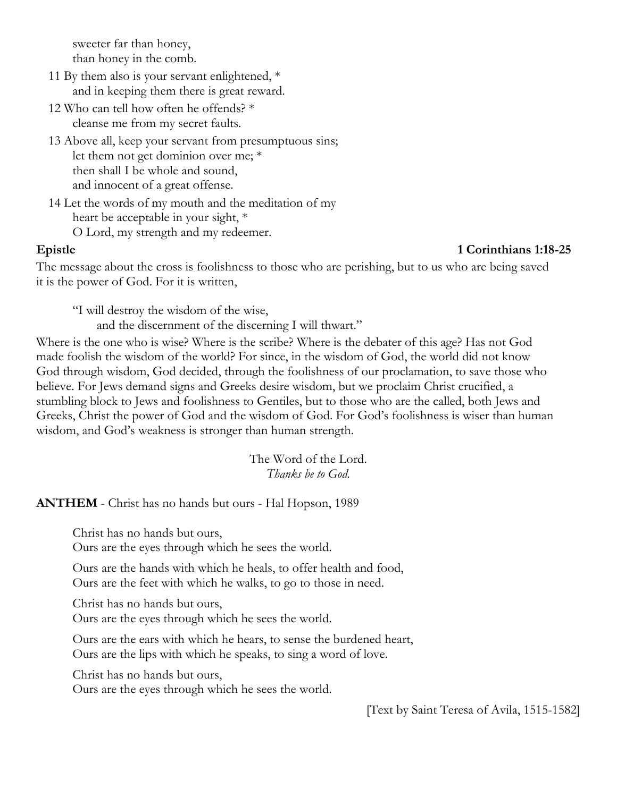sweeter far than honey, than honey in the comb.

- 11 By them also is your servant enlightened, \* and in keeping them there is great reward.
- 12 Who can tell how often he offends? \* cleanse me from my secret faults.
- 13 Above all, keep your servant from presumptuous sins; let them not get dominion over me; \* then shall I be whole and sound, and innocent of a great offense.
- 14 Let the words of my mouth and the meditation of my heart be acceptable in your sight, \* O Lord, my strength and my redeemer.

#### **Epistle 1 Corinthians 1:18-25**

The message about the cross is foolishness to those who are perishing, but to us who are being saved it is the power of God. For it is written,

"I will destroy the wisdom of the wise,

and the discernment of the discerning I will thwart."

Where is the one who is wise? Where is the scribe? Where is the debater of this age? Has not God made foolish the wisdom of the world? For since, in the wisdom of God, the world did not know God through wisdom, God decided, through the foolishness of our proclamation, to save those who believe. For Jews demand signs and Greeks desire wisdom, but we proclaim Christ crucified, a stumbling block to Jews and foolishness to Gentiles, but to those who are the called, both Jews and Greeks, Christ the power of God and the wisdom of God. For God's foolishness is wiser than human wisdom, and God's weakness is stronger than human strength.

> The Word of the Lord. *Thanks be to God.*

**ANTHEM** - Christ has no hands but ours - Hal Hopson, 1989

Christ has no hands but ours,

Ours are the eyes through which he sees the world.

Ours are the hands with which he heals, to offer health and food, Ours are the feet with which he walks, to go to those in need.

Christ has no hands but ours,

Ours are the eyes through which he sees the world.

Ours are the ears with which he hears, to sense the burdened heart, Ours are the lips with which he speaks, to sing a word of love.

Christ has no hands but ours,

Ours are the eyes through which he sees the world.

[Text by Saint Teresa of Avila, 1515-1582]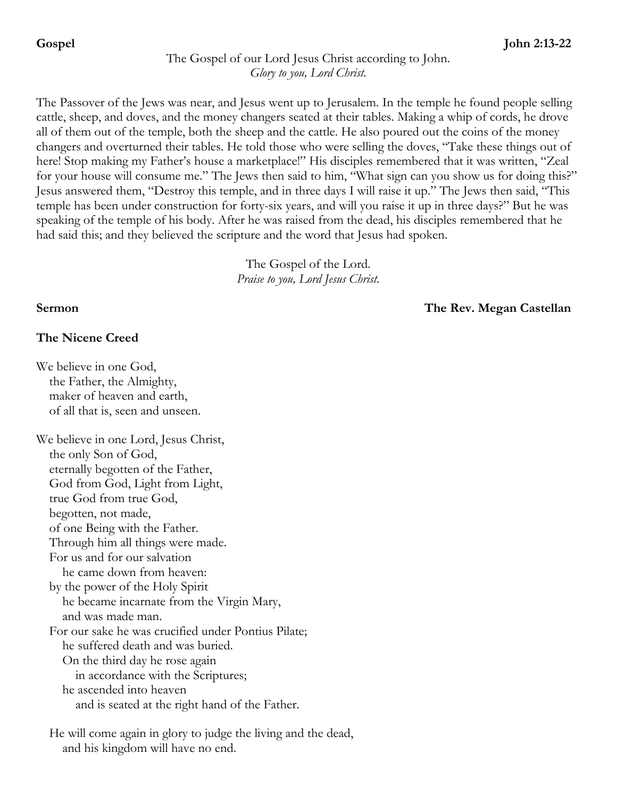# The Gospel of our Lord Jesus Christ according to John. *Glory to you, Lord Christ.*

The Passover of the Jews was near, and Jesus went up to Jerusalem. In the temple he found people selling cattle, sheep, and doves, and the money changers seated at their tables. Making a whip of cords, he drove all of them out of the temple, both the sheep and the cattle. He also poured out the coins of the money changers and overturned their tables. He told those who were selling the doves, "Take these things out of here! Stop making my Father's house a marketplace!" His disciples remembered that it was written, "Zeal for your house will consume me." The Jews then said to him, "What sign can you show us for doing this?" Jesus answered them, "Destroy this temple, and in three days I will raise it up." The Jews then said, "This temple has been under construction for forty-six years, and will you raise it up in three days?" But he was speaking of the temple of his body. After he was raised from the dead, his disciples remembered that he had said this; and they believed the scripture and the word that Jesus had spoken.

> The Gospel of the Lord. *Praise to you, Lord Jesus Christ.*

## **Sermon The Rev. Megan Castellan**

## **The Nicene Creed**

We believe in one God, the Father, the Almighty, maker of heaven and earth, of all that is, seen and unseen. We believe in one Lord, Jesus Christ, the only Son of God, eternally begotten of the Father, God from God, Light from Light, true God from true God, begotten, not made, of one Being with the Father. Through him all things were made. For us and for our salvation he came down from heaven: by the power of the Holy Spirit he became incarnate from the Virgin Mary, and was made man. For our sake he was crucified under Pontius Pilate; he suffered death and was buried. On the third day he rose again in accordance with the Scriptures; he ascended into heaven and is seated at the right hand of the Father.

He will come again in glory to judge the living and the dead, and his kingdom will have no end.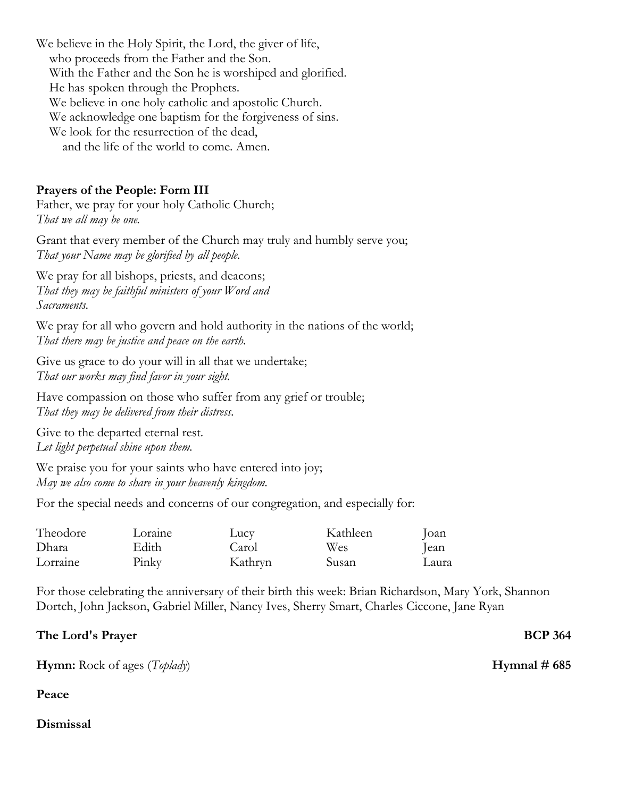We believe in the Holy Spirit, the Lord, the giver of life, who proceeds from the Father and the Son. With the Father and the Son he is worshiped and glorified. He has spoken through the Prophets. We believe in one holy catholic and apostolic Church. We acknowledge one baptism for the forgiveness of sins. We look for the resurrection of the dead, and the life of the world to come. Amen.

### **Prayers of the People: Form III**

Father, we pray for your holy Catholic Church; *That we all may be one.*

Grant that every member of the Church may truly and humbly serve you; *That your Name may be glorified by all people.*

We pray for all bishops, priests, and deacons; *That they may be faithful ministers of your Word and Sacraments.*

We pray for all who govern and hold authority in the nations of the world; *That there may be justice and peace on the earth.*

Give us grace to do your will in all that we undertake; *That our works may find favor in your sight.*

Have compassion on those who suffer from any grief or trouble; *That they may be delivered from their distress.*

Give to the departed eternal rest. *Let light perpetual shine upon them.*

We praise you for your saints who have entered into joy; *May we also come to share in your heavenly kingdom.*

For the special needs and concerns of our congregation, and especially for:

| Theodore | Loraine | Lucv    | Kathleen | Joan  |
|----------|---------|---------|----------|-------|
| Dhara    | Edith   | Carol   | Wes      | lean  |
| Lorraine | Pinky   | Kathryn | Susan    | Laura |

For those celebrating the anniversary of their birth this week: Brian Richardson, Mary York, Shannon Dortch, John Jackson, Gabriel Miller, Nancy Ives, Sherry Smart, Charles Ciccone, Jane Ryan

| The Lord's Prayer | <b>BCP 364</b> |
|-------------------|----------------|
|                   |                |

**Hymn:** Rock of ages (*Toplady*) **Hymnal # 685**

# **Peace**

# **Dismissal**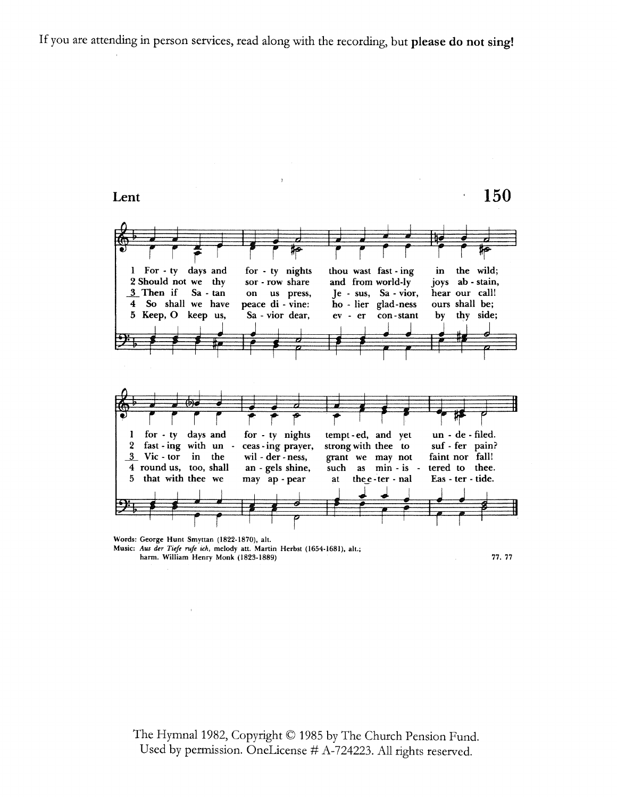If you are attending in person services, read along with the recording, but please do not sing!



Words: George Hunt Smyttan (1822-1870), alt. Music: Aus der Tiefe rufe ich, melody att. Martin Herbst (1654-1681), alt.;

harm. William Henry Monk (1823-1889)

77.77

The Hymnal 1982, Copyright © 1985 by The Church Pension Fund. Used by permission. OneLicense # A-724223. All rights reserved.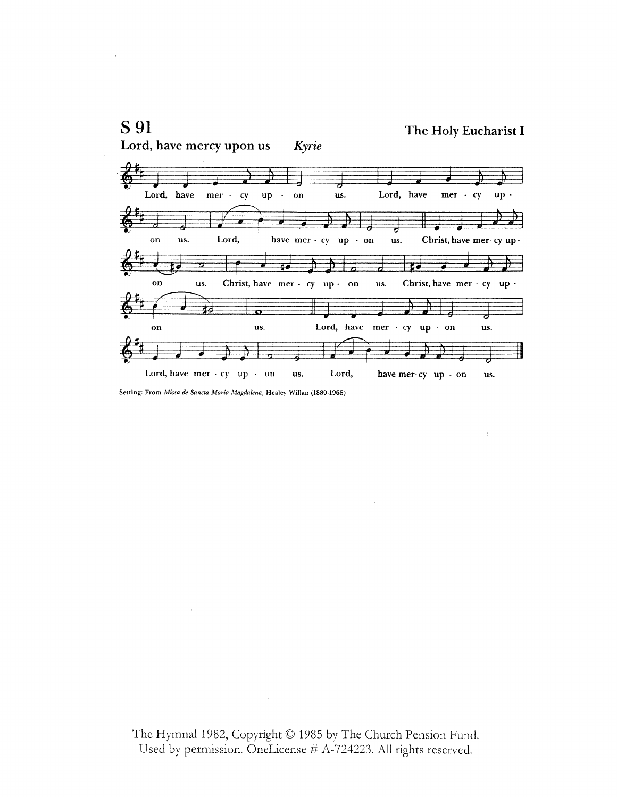

Setting: From Missa de Sancta Maria Magdalena, Healey Willan (1880-1968)

The Hymnal 1982, Copyright © 1985 by The Church Pension Fund. Used by permission. OneLicense # A-724223. All rights reserved.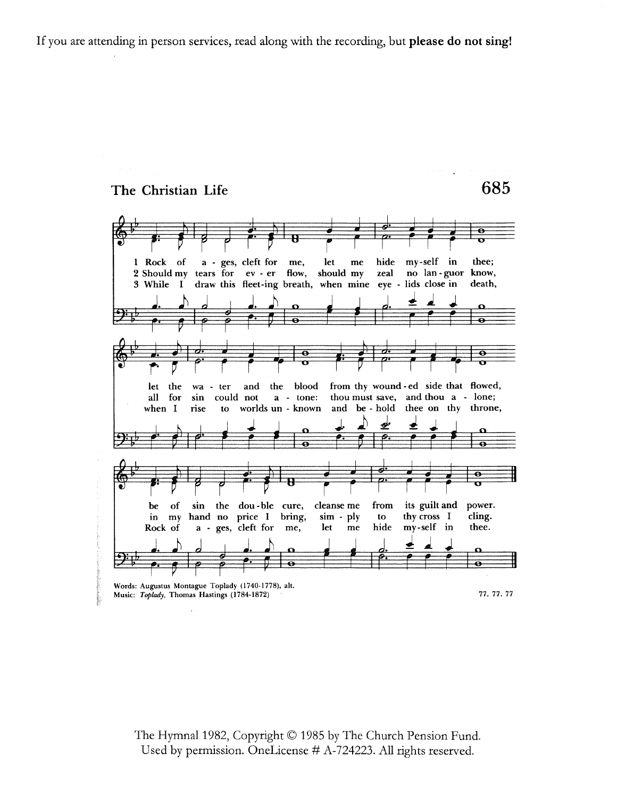If you are attending in person services, read along with the recording, but please do not sing!

#### The Christian Life

685

my-self in 1 Rock a - ges, cleft for let hide thee; of me,  $me$ flow, no lan-guor know, 2 Should my tears for ev - er should my zeal eye - lids close in draw this fleet-ing breath, when mine death, 3 While I ø blood from thy wound-ed side that flowed, let the and the wa - ter could not a - tone: thou must save, and thou a - lone; all for sin worlds un - known and be - hold thee on thy throne, when I rise to ਨ z. of sin the dou-ble cure, cleanse me from its guilt and power. be thy cross I cling. in  $my$ hand no price I bring,  $sim$  -  $ply$ to hide my-self in thee. a - ges, cleft for Rock of me, let  ${\bf m}{\bf e}$ Words: Augustus Montague Toplady (1740-1778), alt. 77. 77. 77 Music: Toplady, Thomas Hastings (1784-1872)

The Hymnal 1982, Copyright © 1985 by The Church Pension Fund. Used by permission. OneLicense # A-724223. All rights reserved.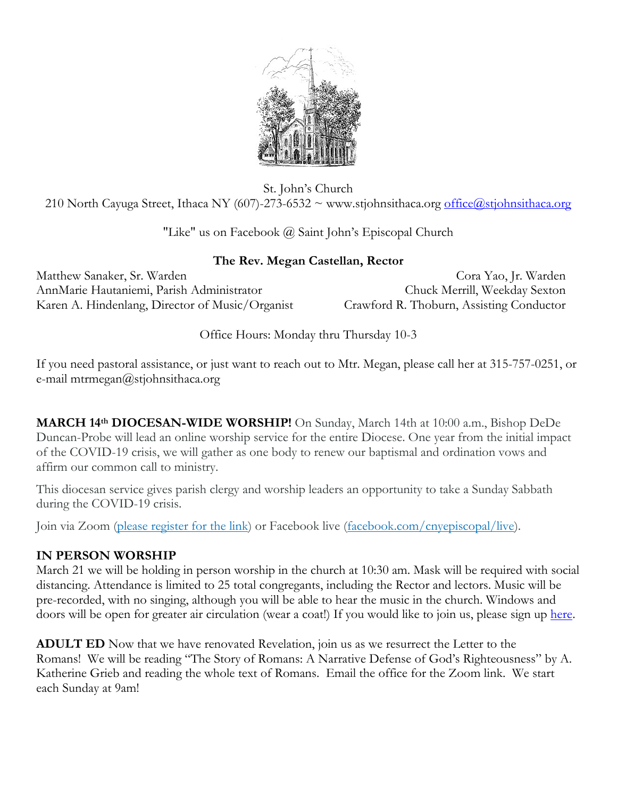

St. John's Church 210 North Cayuga Street, Ithaca NY (607)-273-6532  $\sim$  www.stjohnsithaca.org [office@stjohnsithaca.org](mailto:office@stjohnsithaca.org)

"Like" us on Facebook @ Saint John's Episcopal Church

## **The Rev. Megan Castellan, Rector**

Matthew Sanaker, Sr. Warden Cora Yao, Jr. Warden AnnMarie Hautaniemi, Parish Administrator Chuck Merrill, Weekday Sexton Karen A. Hindenlang, Director of Music/Organist Crawford R. Thoburn, Assisting Conductor

Office Hours: Monday thru Thursday 10-3

If you need pastoral assistance, or just want to reach out to Mtr. Megan, please call her at 315-757-0251, or e-mail mtrmegan@stjohnsithaca.org

**MARCH 14th DIOCESAN-WIDE WORSHIP!** On Sunday, March 14th at 10:00 a.m., Bishop DeDe Duncan-Probe will lead an online worship service for the entire Diocese. One year from the initial impact of the COVID-19 crisis, we will gather as one body to renew our baptismal and ordination vows and affirm our common call to ministry.

This diocesan service gives parish clergy and worship leaders an opportunity to take a Sunday Sabbath during the COVID-19 crisis.

Join via Zoom (please [register for the](https://us02web.zoom.us/meeting/register/tZ0lfu-gqj8rHNG8O52Yg04v-NcCyl7GsLzZ) link) or Facebook live [\(facebook.com/cnyepiscopal/live\)](https://www.facebook.com/cnyepiscopal/live).

# **IN PERSON WORSHIP**

March 21 we will be holding in person worship in the church at 10:30 am. Mask will be required with social distancing. Attendance is limited to 25 total congregants, including the Rector and lectors. Music will be pre-recorded, with no singing, although you will be able to hear the music in the church. Windows and doors will be open for greater air circulation (wear a coat!) If you would like to join us, please sign up [here.](https://www.signupgenius.com/go/60b044daaad2fa6fb6-sunday)

**ADULT ED** Now that we have renovated Revelation, join us as we resurrect the Letter to the Romans! We will be reading "The Story of Romans: A Narrative Defense of God's Righteousness" by A. Katherine Grieb and reading the whole text of Romans. Email the office for the Zoom link. We start each Sunday at 9am!